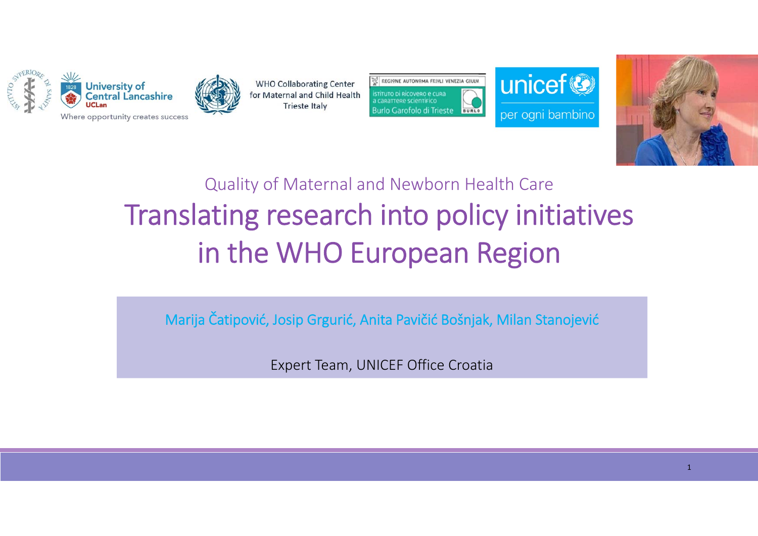



**WHO Collaborating Center** for Maternal and Child Health **Trieste Italy** 

**REGIONE AUTONOMA FRIVLI VENEZIA GIULIA** istituto di Ricovero e cura a carattere scientifico **Burlo Garofolo di Trieste BURLO**  unicef<sup>®</sup> per ogni bambino



## Quality of Maternal and Newborn Health Care Translating research into policy initiatives in the WHO European Region

Marija Čatipović, Josip Grgurić, Anita Pavičić Bošnjak, Milan Stanojević

Expert Team, UNICEF Office Croatia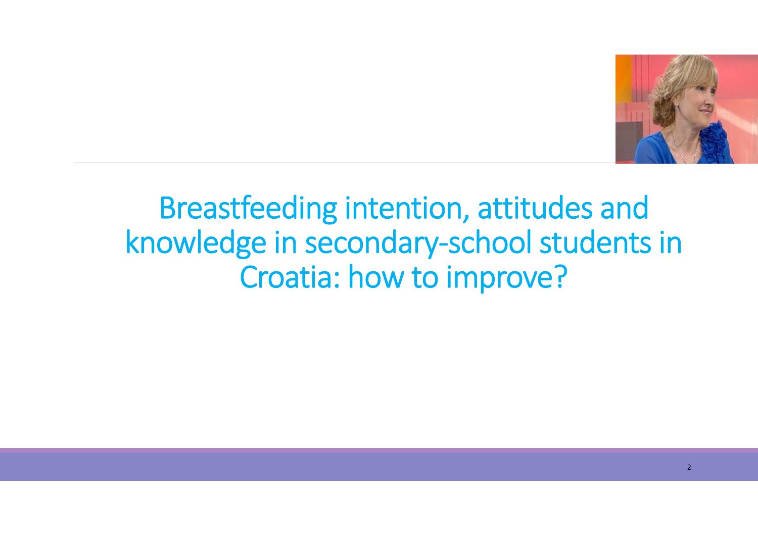

## Breastfeeding intention, attitudes and knowledge in secondary‐school students in Croatia: how to improve?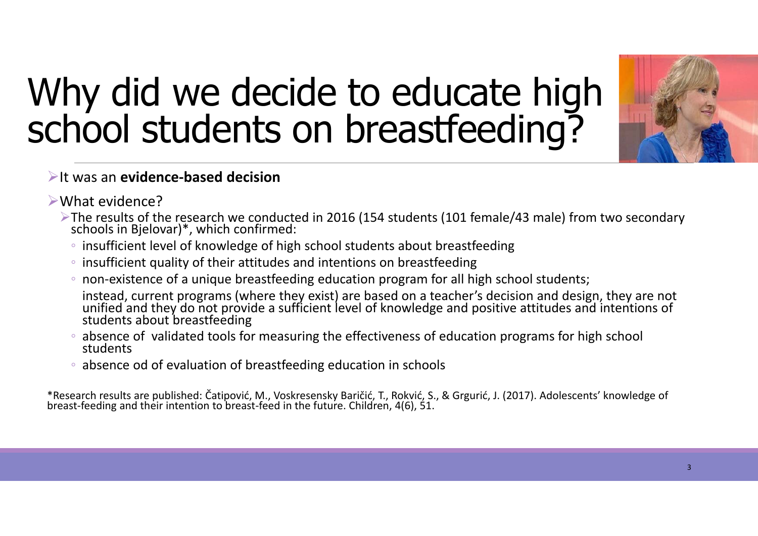# Why did we decide to educate high school students on breastfeeding?



#### It was an **evidence‐based decision**

- What evidence?
	- The results of the research we conducted in 2016 (154 students (101 female/43 male) from two secondary schools in Bjelovar)\*, which confirmed:
		- insufficient level of knowledge of high school students about breastfeeding
		- insufficient quality of their attitudes and intentions on breastfeeding
		- non‐existence of a unique breastfeeding education program for all high school students;
		- instead, current programs (where they exist) are based on a teacher's decision and design, they are not unified and they do not provide a sufficient level of knowledge and positive attitudes and intentions of students abou
		- absence of validated tools for measuring the effectiveness of education programs for high school students
		- absence od of evaluation of breastfeeding education in schools

\*Research results are published: Čatipović, M., Voskresensky Baričić, T., Rokvić, S., & Grgurić, J. (2017). Adolescents' knowledge of breast‐feeding and their intention to breast‐feed in the future. Children, 4(6), 51.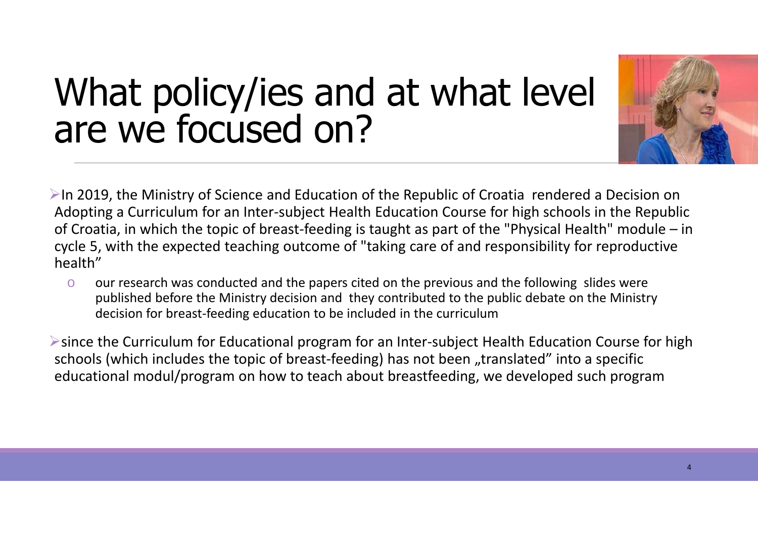## What policy/ies and at what level are we focused on?



 $\triangleright$ In 2019, the Ministry of Science and Education of the Republic of Croatia rendered a Decision on Adopting a Curriculum for an Inter‐subject Health Education Course for high schools in the Republic of Croatia, in which the topic of breast‐feeding is taught as part of the "Physical Health" module – in cycle 5, with the expected teaching outcome of "taking care of and responsibility for reproductive health"

o our research was conducted and the papers cited on the previous and the following slides were published before the Ministry decision and they contributed to the public debate on the Ministry decision for breast‐feeding education to be included in the curriculum

since the Curriculum for Educational program for an Inter‐subject Health Education Course for high schools (which includes the topic of breast-feeding) has not been "translated" into a specific educational modul/program on how to teach about breastfeeding, we developed such program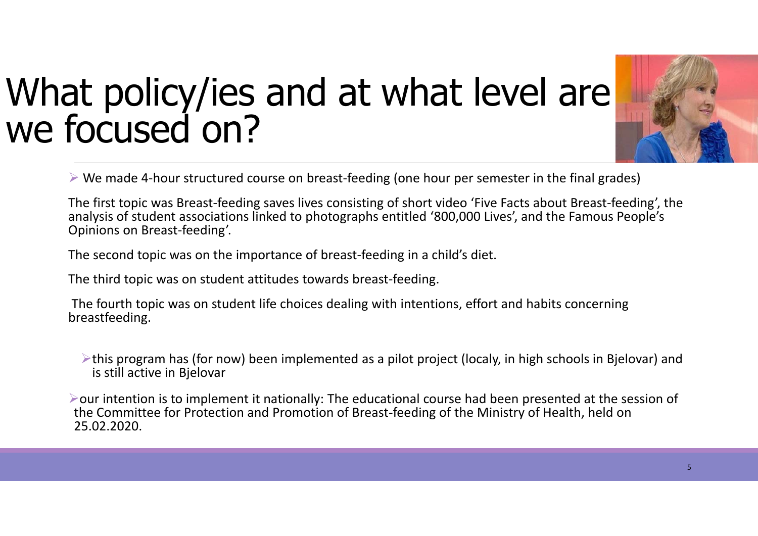# What policy/ies and at what level are<br>we focused on?



We made 4‐hour structured course on breast‐feeding (one hour per semester in the final grades)

The first topic was Breast‐feeding saves lives consisting of short video 'Five Facts about Breast‐feeding', the analysis of student associations linked to photographs entitled '800,000 Lives', and the Famous People's Opinions on Breast‐feeding'.

The second topic was on the importance of breast-feeding in a child's diet.

The third topic was on student attitudes towards breast‐feeding.

The fourth topic was on student life choices dealing with intentions, effort and habits concerning breastfeeding.

 $\triangleright$ this program has (for now) been implemented as a pilot project (localy, in high schools in Bielovar) and is still active in Bjelovar

 $\triangleright$  our intention is to implement it nationally: The educational course had been presented at the session of the Committee for Protection and Promotion of Breast‐feeding of the Ministry of Health, held on 25.02.2020.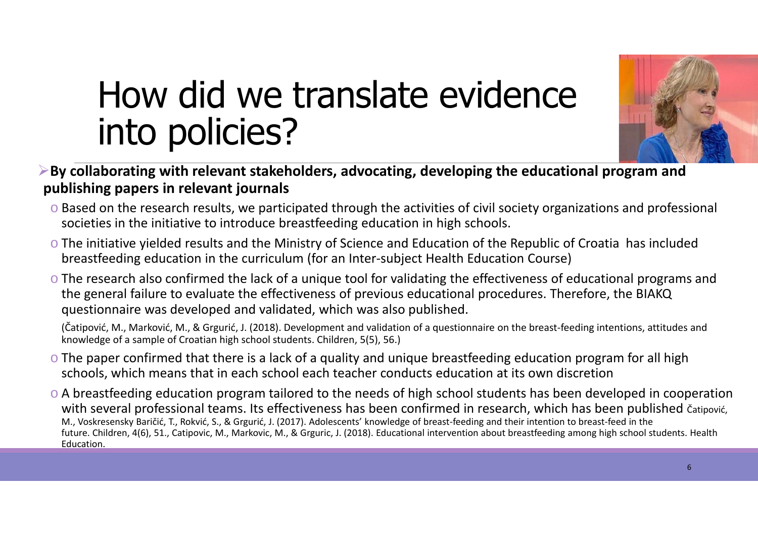

## How did we translate evidence into policies?

- **By collaborating with relevant stakeholders, advocating, developing the educational program and publishing papers in relevant journals**
	- o Based on the research results, we participated through the activities of civil society organizations and professional societies in the initiative to introduce breastfeeding education in high schools.
	- o The initiative yielded results and the Ministry of Science and Education of the Republic of Croatia has included breastfeeding education in the curriculum (for an Inter‐subject Health Education Course)
	- o The research also confirmed the lack of a unique tool for validating the effectiveness of educational programs and the general failure to evaluate the effectiveness of previous educational procedures. Therefore, the BIAKQ questionnaire was developed and validated, which was also published.

(Čatipović, M., Marković, M., & Grgurić, J. (2018). Development and validation of a questionnaire on the breast‐feeding intentions, attitudes and knowledge of a sample of Croatian high school students. Children, 5(5), 56.)

- o The paper confirmed that there is a lack of a quality and unique breastfeeding education program for all high schools, which means that in each school each teacher conducts education at its own discretion
- o A breastfeeding education program tailored to the needs of high school students has been developed in cooperation with several professional teams. Its effectiveness has been confirmed in research, which has been published čatipović, M., Voskresensky Baričić, T., Rokvić, S., & Grgurić, J. (2017). Adolescents' knowledge of breast‐feeding and their intention to breast‐feed in the future. Children, 4(6), 51., Catipovic, M., Markovic, M., & Grguric, J. (2018). Educational intervention about breastfeeding among high school students. Health Education.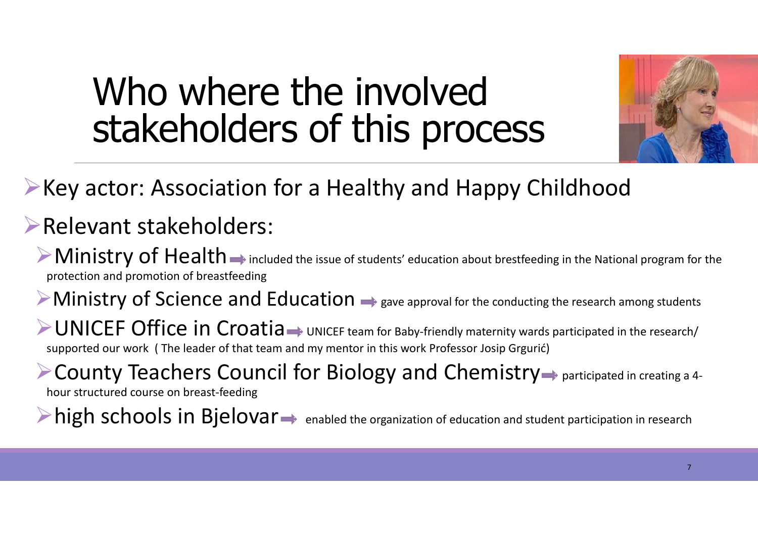## Who where the involved stakeholders of this process



### **Example 2 Key actor: Association for a Healthy and Happy Childhood**

#### Relevant stakeholders:

 $\triangleright$  Ministry of Health  $\rightarrow$  included the issue of students' education about brestfeeding in the National program for the protection and promotion of breastfeeding

 $\triangleright$  Ministry of Science and Education  $\rightarrow$  gave approval for the conducting the research among students

 $\triangleright$  UNICEF Office in Croatia  $\rightarrow$  UNICEF team for Baby-friendly maternity wards participated in the research/ supported our work ( The leader of that team and my mentor in this work Professor Josip Grgurić)

**Example 24 Found 20 Feachers Council for Biology and Chemistry**  $\Rightarrow$  participated in creating a 4hour structured course on breast‐feeding

 $\triangleright$  high schools in Bjelovar  $\rightarrow$  enabled the organization of education and student participation in research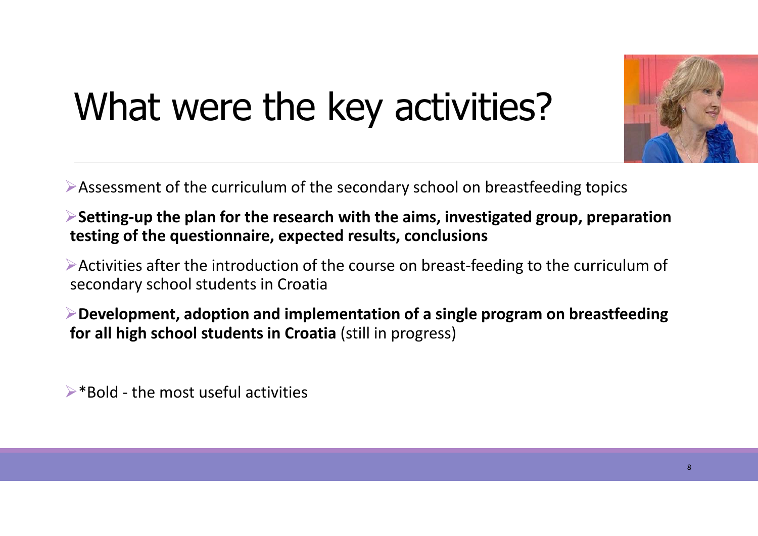# What were the key activities?

Assessment of the curriculum of the secondary school on breastfeeding topics

**Setting‐up the plan for the research with the aims, investigated group, preparation testing of the questionnaire, expected results, conclusions**

Activities after the introduction of the course on breast‐feeding to the curriculum of secondary school students in Croatia

**Development, adoption and implementation of a single program on breastfeeding for all high school students in Croatia** (still in progress)

 $\triangleright^*$ Bold - the most useful activities

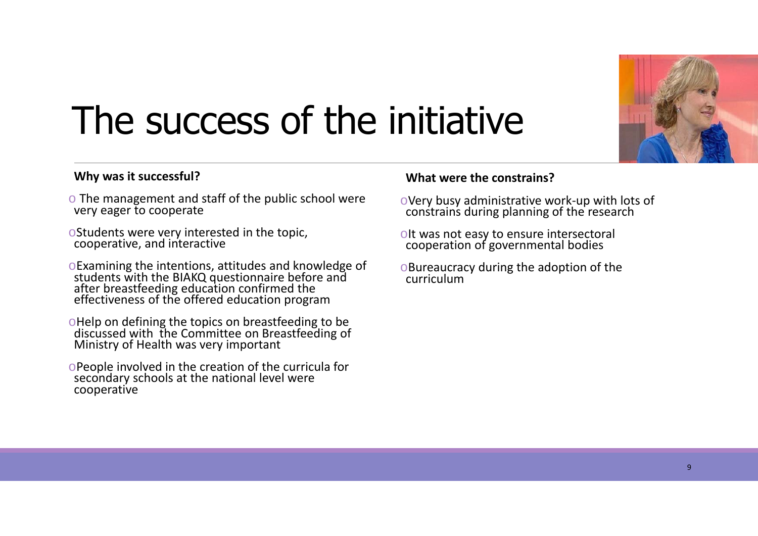

## The success of the initiative

#### **Why was it successful?**

- $\circ$  The management and staff of the public school were very eager to cooperate
- <sup>o</sup>Students were very interested in the topic, cooperative, and interactive
- <sup>o</sup>Examining the intentions, attitudes and knowledge of students with the BIAKQ questionnaire before and after breastfeeding education confirmed the effectiveness of the offered education program
- <sup>o</sup>Help on defining the topics on breastfeeding to be discussed with the Committee on Breastfeeding of Ministry of Health was very important
- <sup>o</sup>People involved in the creation of the curricula for secondary schools at the national level were cooperative

#### **What were the constrains?**

- <sup>o</sup>Very busy administrative work‐up with lots of constrains during planning of the research
- <sup>o</sup>It was not easy to ensure intersectoral cooperation of governmental bodies
- <sup>o</sup>Bureaucracy during the adoption of the curriculum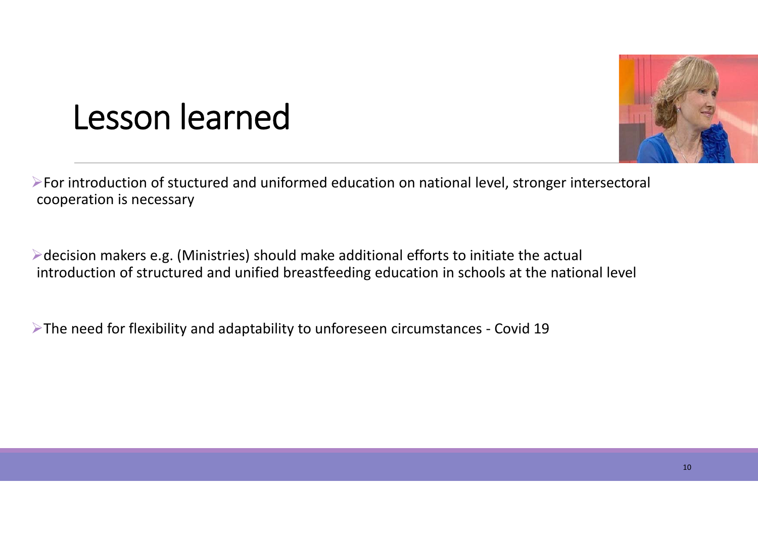

## Lesson learned

For introduction of stuctured and uniformed education on national level, stronger intersectoral cooperation is necessary

 $\triangleright$  decision makers e.g. (Ministries) should make additional efforts to initiate the actual introduction of structured and unified breastfeeding education in schools at the national level

The need for flexibility and adaptability to unforeseen circumstances ‐ Covid 19